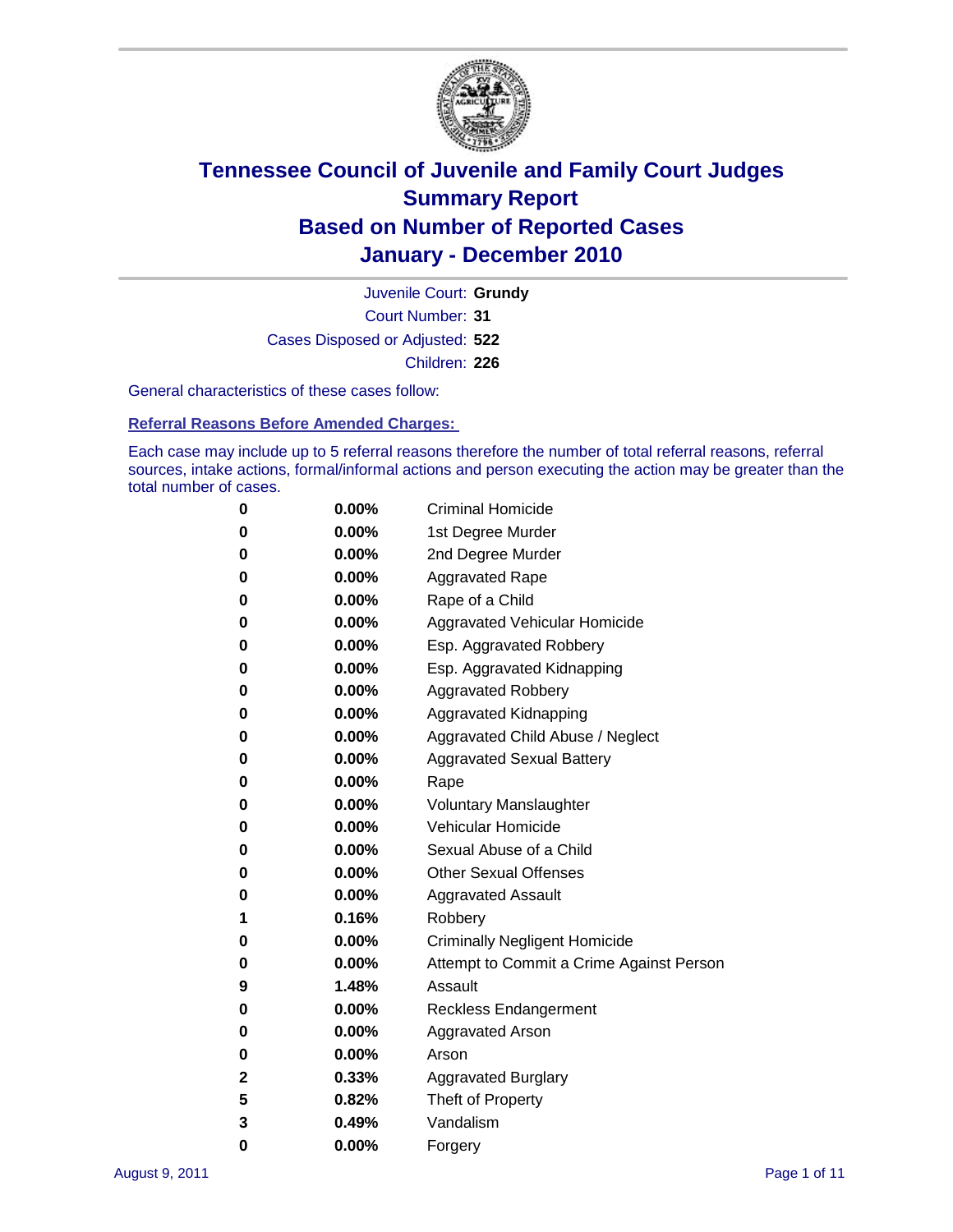

Court Number: **31** Juvenile Court: **Grundy** Cases Disposed or Adjusted: **522** Children: **226**

General characteristics of these cases follow:

**Referral Reasons Before Amended Charges:** 

Each case may include up to 5 referral reasons therefore the number of total referral reasons, referral sources, intake actions, formal/informal actions and person executing the action may be greater than the total number of cases.

| 0 | $0.00\%$ | <b>Criminal Homicide</b>                 |  |  |  |  |
|---|----------|------------------------------------------|--|--|--|--|
| 0 | $0.00\%$ | 1st Degree Murder                        |  |  |  |  |
| 0 | $0.00\%$ | 2nd Degree Murder                        |  |  |  |  |
| 0 | $0.00\%$ | <b>Aggravated Rape</b>                   |  |  |  |  |
| 0 | $0.00\%$ | Rape of a Child                          |  |  |  |  |
| 0 | $0.00\%$ | Aggravated Vehicular Homicide            |  |  |  |  |
| 0 | $0.00\%$ | Esp. Aggravated Robbery                  |  |  |  |  |
| 0 | $0.00\%$ | Esp. Aggravated Kidnapping               |  |  |  |  |
| 0 | $0.00\%$ | <b>Aggravated Robbery</b>                |  |  |  |  |
| 0 | $0.00\%$ | Aggravated Kidnapping                    |  |  |  |  |
| 0 | $0.00\%$ | Aggravated Child Abuse / Neglect         |  |  |  |  |
| 0 | $0.00\%$ | <b>Aggravated Sexual Battery</b>         |  |  |  |  |
| 0 | 0.00%    | Rape                                     |  |  |  |  |
| 0 | $0.00\%$ | <b>Voluntary Manslaughter</b>            |  |  |  |  |
| 0 | $0.00\%$ | Vehicular Homicide                       |  |  |  |  |
| 0 | $0.00\%$ | Sexual Abuse of a Child                  |  |  |  |  |
| 0 | $0.00\%$ | <b>Other Sexual Offenses</b>             |  |  |  |  |
| 0 | $0.00\%$ | <b>Aggravated Assault</b>                |  |  |  |  |
| 1 | 0.16%    | Robbery                                  |  |  |  |  |
| 0 | $0.00\%$ | <b>Criminally Negligent Homicide</b>     |  |  |  |  |
| 0 | $0.00\%$ | Attempt to Commit a Crime Against Person |  |  |  |  |
| 9 | 1.48%    | Assault                                  |  |  |  |  |
| 0 | $0.00\%$ | <b>Reckless Endangerment</b>             |  |  |  |  |
| 0 | 0.00%    | <b>Aggravated Arson</b>                  |  |  |  |  |
| 0 | $0.00\%$ | Arson                                    |  |  |  |  |
| 2 | 0.33%    | <b>Aggravated Burglary</b>               |  |  |  |  |
| 5 | 0.82%    | Theft of Property                        |  |  |  |  |
| 3 | 0.49%    | Vandalism                                |  |  |  |  |
| 0 | 0.00%    | Forgery                                  |  |  |  |  |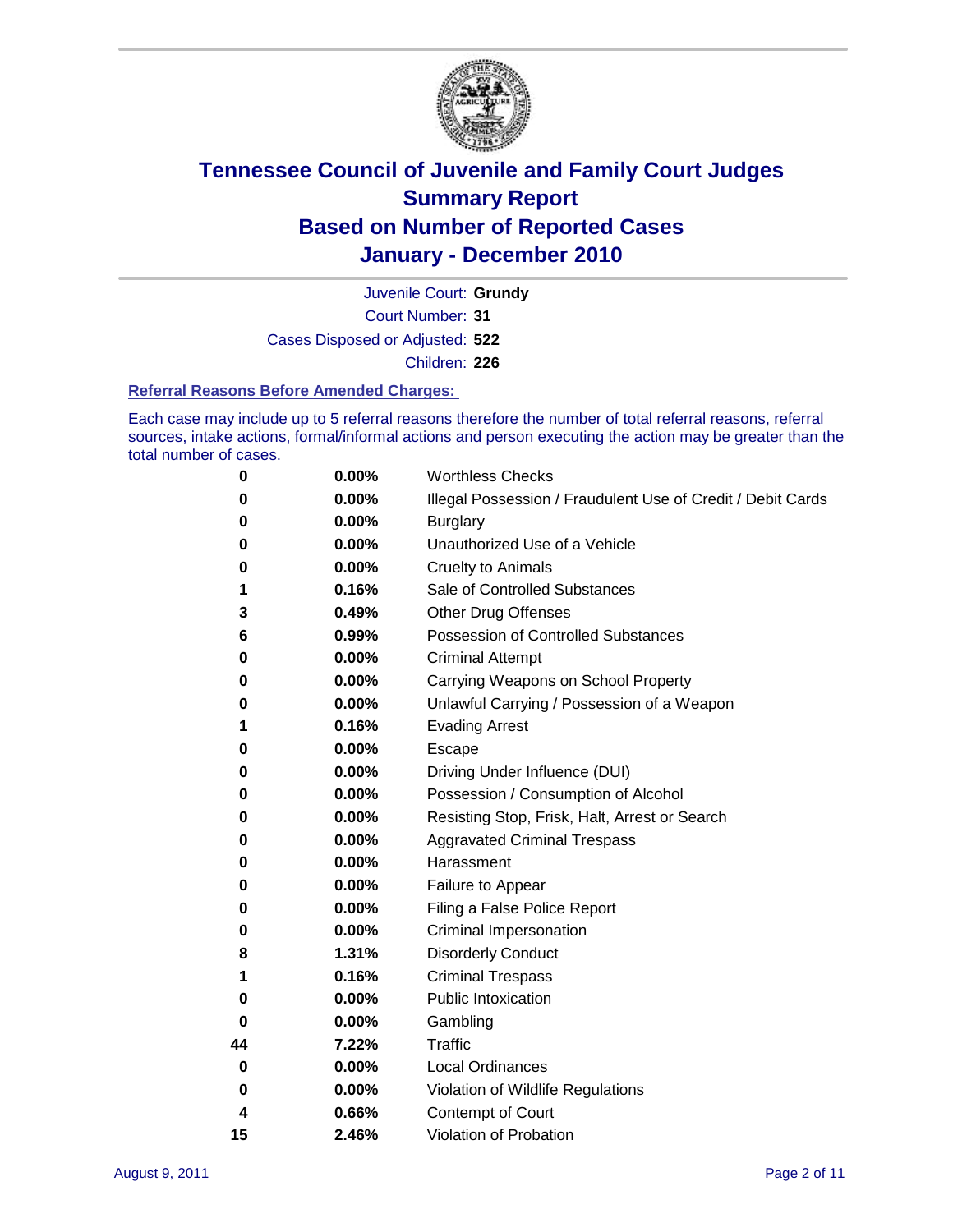

Court Number: **31** Juvenile Court: **Grundy** Cases Disposed or Adjusted: **522**

Children: **226**

#### **Referral Reasons Before Amended Charges:**

Each case may include up to 5 referral reasons therefore the number of total referral reasons, referral sources, intake actions, formal/informal actions and person executing the action may be greater than the total number of cases.

| 0  | 0.00% | <b>Worthless Checks</b>                                     |
|----|-------|-------------------------------------------------------------|
| 0  | 0.00% | Illegal Possession / Fraudulent Use of Credit / Debit Cards |
| 0  | 0.00% | <b>Burglary</b>                                             |
| 0  | 0.00% | Unauthorized Use of a Vehicle                               |
| 0  | 0.00% | <b>Cruelty to Animals</b>                                   |
| 1  | 0.16% | Sale of Controlled Substances                               |
| 3  | 0.49% | <b>Other Drug Offenses</b>                                  |
| 6  | 0.99% | <b>Possession of Controlled Substances</b>                  |
| 0  | 0.00% | <b>Criminal Attempt</b>                                     |
| 0  | 0.00% | Carrying Weapons on School Property                         |
| 0  | 0.00% | Unlawful Carrying / Possession of a Weapon                  |
| 1  | 0.16% | <b>Evading Arrest</b>                                       |
| 0  | 0.00% | Escape                                                      |
| 0  | 0.00% | Driving Under Influence (DUI)                               |
| 0  | 0.00% | Possession / Consumption of Alcohol                         |
| 0  | 0.00% | Resisting Stop, Frisk, Halt, Arrest or Search               |
| 0  | 0.00% | <b>Aggravated Criminal Trespass</b>                         |
| 0  | 0.00% | Harassment                                                  |
| 0  | 0.00% | Failure to Appear                                           |
| 0  | 0.00% | Filing a False Police Report                                |
| 0  | 0.00% | Criminal Impersonation                                      |
| 8  | 1.31% | <b>Disorderly Conduct</b>                                   |
| 1  | 0.16% | <b>Criminal Trespass</b>                                    |
| 0  | 0.00% | <b>Public Intoxication</b>                                  |
| 0  | 0.00% | Gambling                                                    |
| 44 | 7.22% | <b>Traffic</b>                                              |
| 0  | 0.00% | <b>Local Ordinances</b>                                     |
| 0  | 0.00% | Violation of Wildlife Regulations                           |
| 4  | 0.66% | Contempt of Court                                           |
| 15 | 2.46% | Violation of Probation                                      |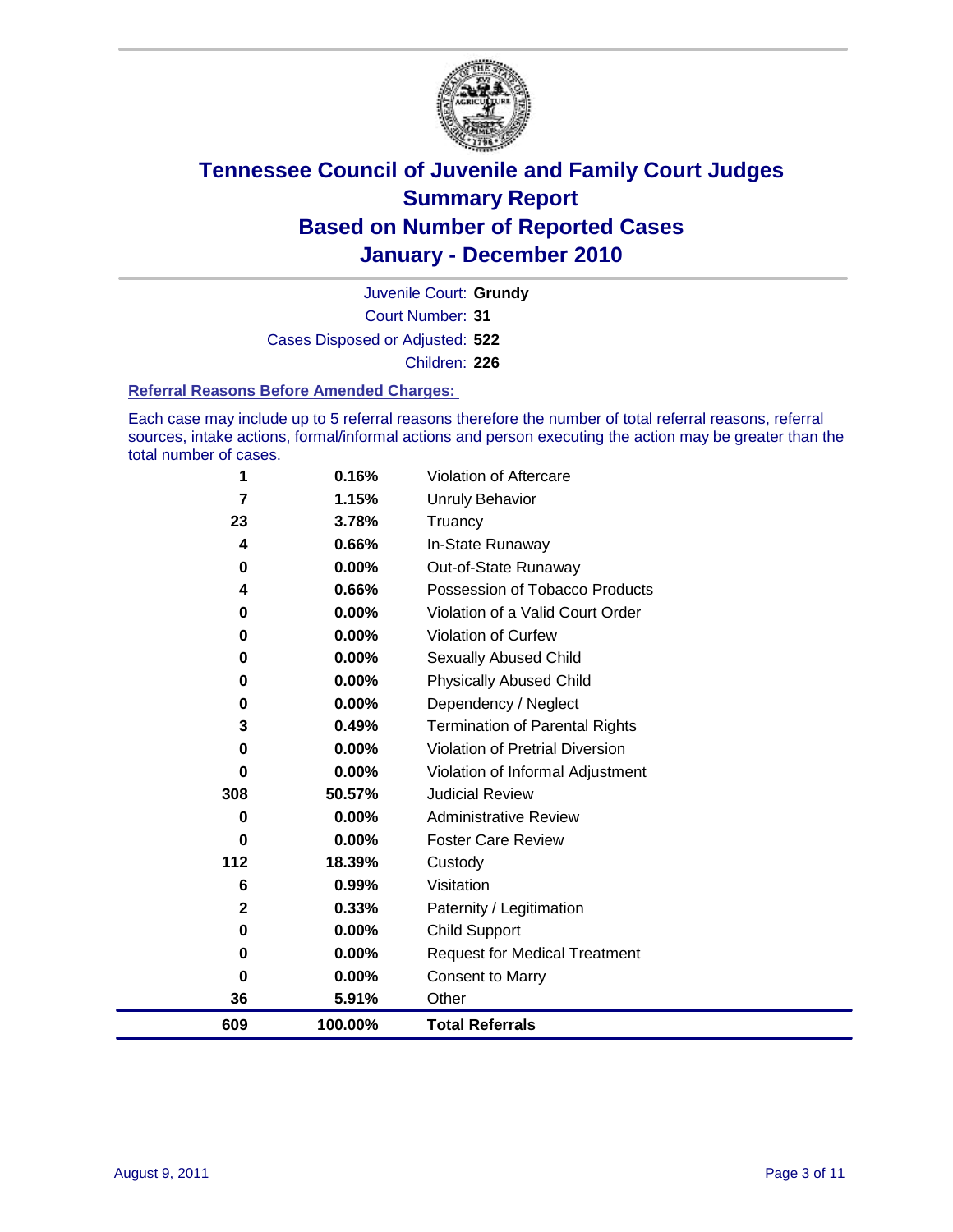

Court Number: **31** Juvenile Court: **Grundy** Cases Disposed or Adjusted: **522** Children: **226**

#### **Referral Reasons Before Amended Charges:**

Each case may include up to 5 referral reasons therefore the number of total referral reasons, referral sources, intake actions, formal/informal actions and person executing the action may be greater than the total number of cases.

| 1            | 0.16%    | Violation of Aftercare                 |
|--------------|----------|----------------------------------------|
| 7            | 1.15%    | <b>Unruly Behavior</b>                 |
| 23           | 3.78%    | Truancy                                |
| 4            | 0.66%    | In-State Runaway                       |
| 0            | 0.00%    | Out-of-State Runaway                   |
| 4            | 0.66%    | Possession of Tobacco Products         |
| 0            | 0.00%    | Violation of a Valid Court Order       |
| $\bf{0}$     | 0.00%    | Violation of Curfew                    |
| 0            | 0.00%    | <b>Sexually Abused Child</b>           |
| 0            | 0.00%    | <b>Physically Abused Child</b>         |
| 0            | 0.00%    | Dependency / Neglect                   |
| 3            | 0.49%    | <b>Termination of Parental Rights</b>  |
| $\bf{0}$     | $0.00\%$ | <b>Violation of Pretrial Diversion</b> |
| 0            | 0.00%    | Violation of Informal Adjustment       |
| 308          | 50.57%   | <b>Judicial Review</b>                 |
| 0            | 0.00%    | <b>Administrative Review</b>           |
| $\bf{0}$     | 0.00%    | <b>Foster Care Review</b>              |
| 112          | 18.39%   | Custody                                |
| 6            | 0.99%    | Visitation                             |
| $\mathbf{2}$ | 0.33%    | Paternity / Legitimation               |
| 0            | 0.00%    | <b>Child Support</b>                   |
| 0            | $0.00\%$ | <b>Request for Medical Treatment</b>   |
| 0            | 0.00%    | <b>Consent to Marry</b>                |
| 36           | 5.91%    | Other                                  |
| 609          | 100.00%  | <b>Total Referrals</b>                 |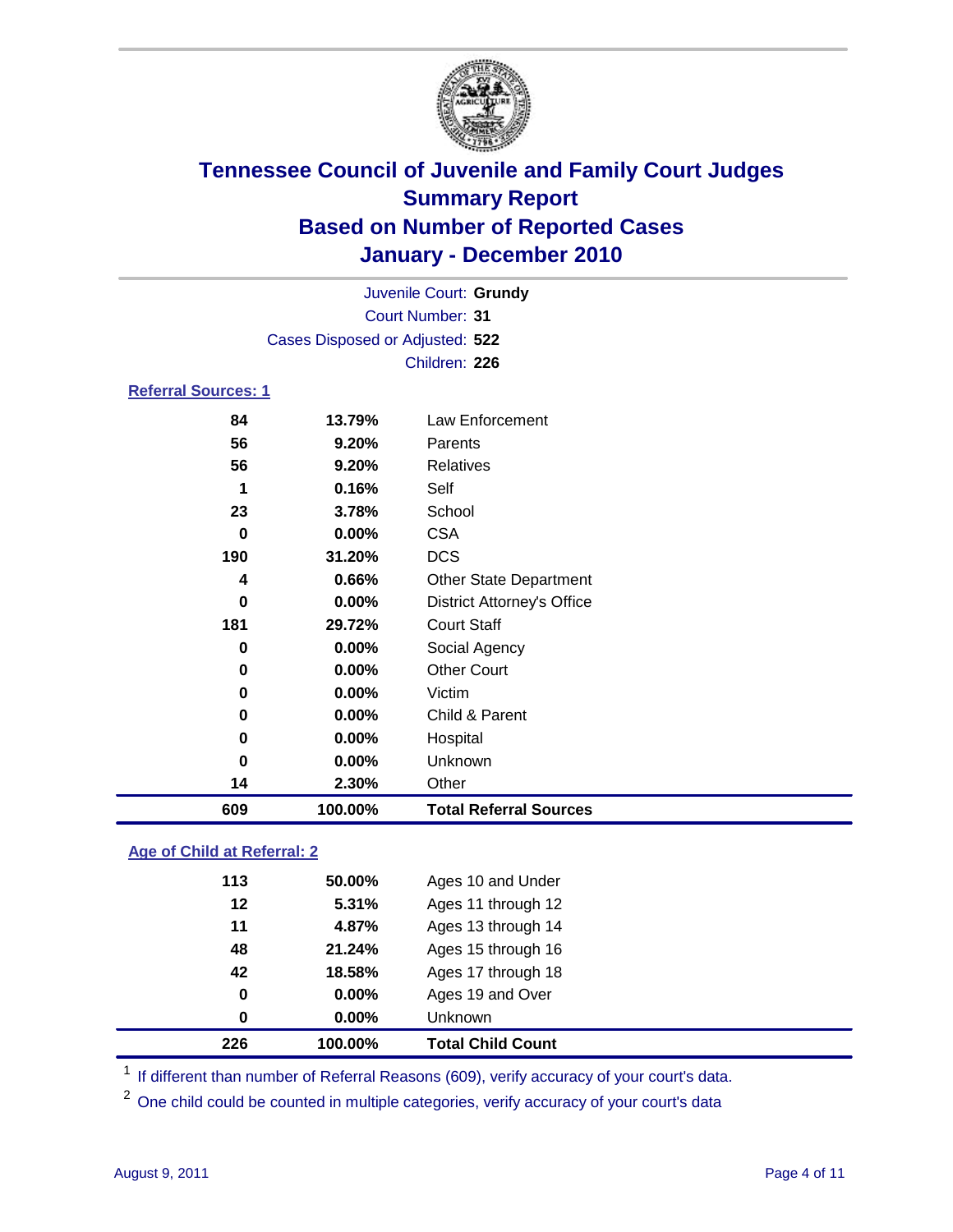

|                            | Juvenile Court: Grundy          |                                   |  |  |
|----------------------------|---------------------------------|-----------------------------------|--|--|
|                            | <b>Court Number: 31</b>         |                                   |  |  |
|                            | Cases Disposed or Adjusted: 522 |                                   |  |  |
|                            |                                 | Children: 226                     |  |  |
| <b>Referral Sources: 1</b> |                                 |                                   |  |  |
| 84                         | 13.79%                          | Law Enforcement                   |  |  |
| 56                         | 9.20%                           | Parents                           |  |  |
| 56                         | 9.20%                           | <b>Relatives</b>                  |  |  |
| 1                          | 0.16%                           | Self                              |  |  |
| 23                         | 3.78%                           | School                            |  |  |
| 0                          | 0.00%                           | <b>CSA</b>                        |  |  |
| 190                        | 31.20%                          | <b>DCS</b>                        |  |  |
| 4                          | 0.66%                           | <b>Other State Department</b>     |  |  |
| $\bf{0}$                   | 0.00%                           | <b>District Attorney's Office</b> |  |  |
| 181                        | 29.72%                          | <b>Court Staff</b>                |  |  |
| 0                          | 0.00%                           | Social Agency                     |  |  |
| 0                          | 0.00%                           | <b>Other Court</b>                |  |  |
| 0                          | 0.00%                           | Victim                            |  |  |
| 0                          | 0.00%                           | Child & Parent                    |  |  |
| 0                          | 0.00%                           | Hospital                          |  |  |
| 0                          | 0.00%                           | Unknown                           |  |  |
| 14                         | 2.30%                           | Other                             |  |  |
| 609                        | 100.00%                         | <b>Total Referral Sources</b>     |  |  |
|                            |                                 |                                   |  |  |

### **Age of Child at Referral: 2**

| 42<br>0<br>$\bf{0}$ | 0.00%<br>0.00% | Ages 19 and Over<br>Unknown |                              |
|---------------------|----------------|-----------------------------|------------------------------|
|                     |                |                             |                              |
|                     |                |                             |                              |
|                     |                |                             |                              |
| 48                  | 21.24%         | Ages 15 through 16          |                              |
| 11                  | 4.87%          | Ages 13 through 14          |                              |
| 12                  | 5.31%          | Ages 11 through 12          |                              |
| 113                 | 50.00%         | Ages 10 and Under           |                              |
|                     |                |                             | 18.58%<br>Ages 17 through 18 |

<sup>1</sup> If different than number of Referral Reasons (609), verify accuracy of your court's data.

<sup>2</sup> One child could be counted in multiple categories, verify accuracy of your court's data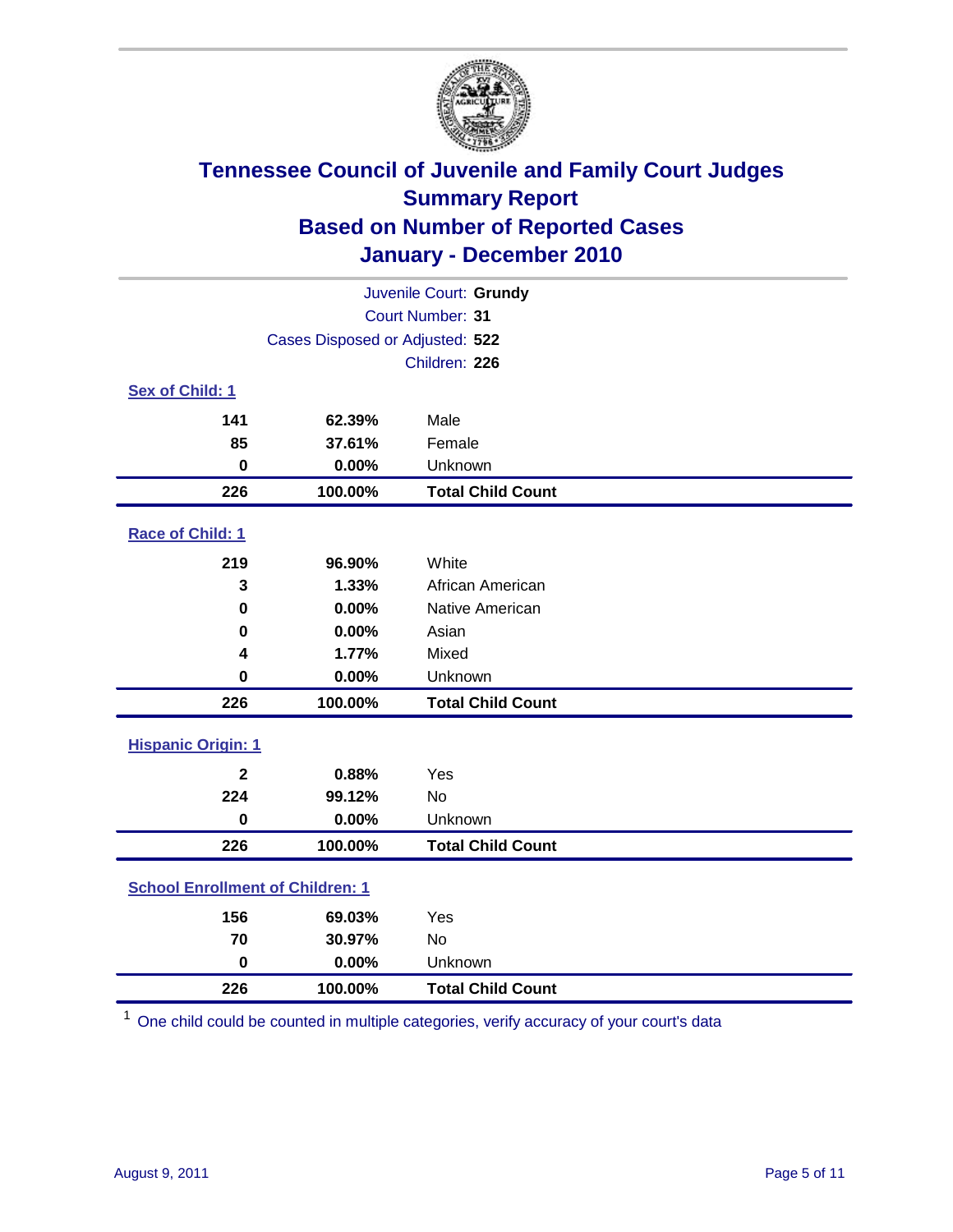

| Juvenile Court: Grundy                  |                                 |                          |  |  |
|-----------------------------------------|---------------------------------|--------------------------|--|--|
|                                         | Court Number: 31                |                          |  |  |
|                                         | Cases Disposed or Adjusted: 522 |                          |  |  |
|                                         |                                 | Children: 226            |  |  |
| Sex of Child: 1                         |                                 |                          |  |  |
| 141                                     | 62.39%                          | Male                     |  |  |
| 85                                      | 37.61%                          | Female                   |  |  |
| $\mathbf 0$                             | 0.00%                           | Unknown                  |  |  |
| 226                                     | 100.00%                         | <b>Total Child Count</b> |  |  |
| Race of Child: 1                        |                                 |                          |  |  |
| 219                                     | 96.90%                          | White                    |  |  |
| 3                                       | 1.33%                           | African American         |  |  |
| $\mathbf 0$                             | 0.00%                           | Native American          |  |  |
| 0                                       | 0.00%                           | Asian                    |  |  |
| 4                                       | 1.77%                           | Mixed                    |  |  |
| $\mathbf 0$                             | 0.00%                           | Unknown                  |  |  |
| 226                                     | 100.00%                         | <b>Total Child Count</b> |  |  |
| <b>Hispanic Origin: 1</b>               |                                 |                          |  |  |
| $\mathbf{2}$                            | 0.88%                           | Yes                      |  |  |
| 224                                     | 99.12%                          | No                       |  |  |
| $\mathbf 0$                             | 0.00%                           | Unknown                  |  |  |
| 226                                     | 100.00%                         | <b>Total Child Count</b> |  |  |
| <b>School Enrollment of Children: 1</b> |                                 |                          |  |  |
| 156                                     | 69.03%                          | Yes                      |  |  |
| 70                                      | 30.97%                          | No                       |  |  |
| $\mathbf 0$                             | 0.00%                           | Unknown                  |  |  |
| 226                                     | 100.00%                         | <b>Total Child Count</b> |  |  |

One child could be counted in multiple categories, verify accuracy of your court's data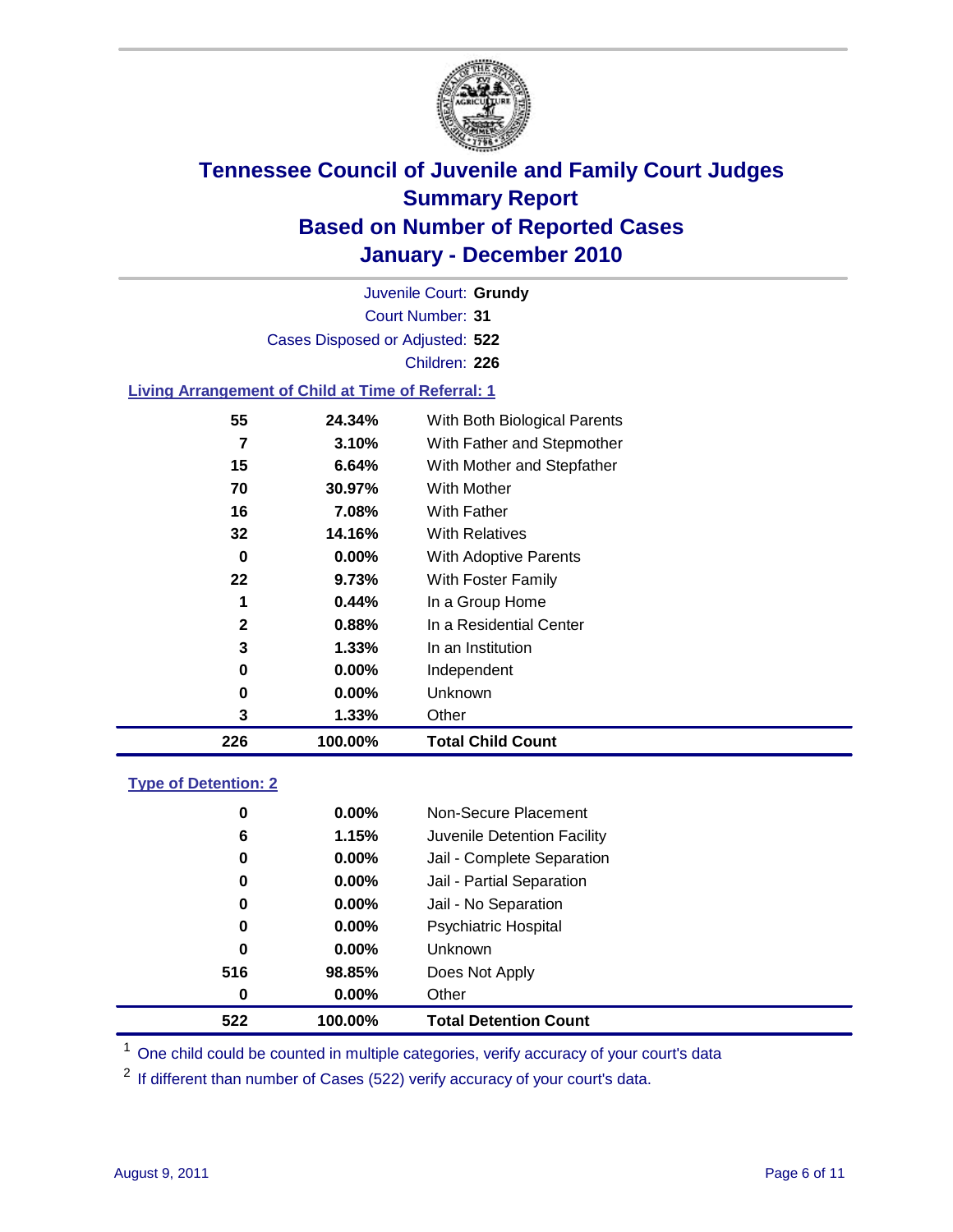

Court Number: **31** Juvenile Court: **Grundy** Cases Disposed or Adjusted: **522** Children: **226**

#### **Living Arrangement of Child at Time of Referral: 1**

| 226 | 100.00%  | <b>Total Child Count</b>     |
|-----|----------|------------------------------|
| 3   | 1.33%    | Other                        |
| 0   | $0.00\%$ | Unknown                      |
| 0   | $0.00\%$ | Independent                  |
| 3   | 1.33%    | In an Institution            |
| 2   | 0.88%    | In a Residential Center      |
| 1   | 0.44%    | In a Group Home              |
| 22  | 9.73%    | With Foster Family           |
| 0   | $0.00\%$ | With Adoptive Parents        |
| 32  | 14.16%   | <b>With Relatives</b>        |
| 16  | 7.08%    | With Father                  |
| 70  | 30.97%   | <b>With Mother</b>           |
| 15  | 6.64%    | With Mother and Stepfather   |
| 7   | 3.10%    | With Father and Stepmother   |
| 55  | 24.34%   | With Both Biological Parents |
|     |          |                              |

#### **Type of Detention: 2**

| 522      | 100.00%  | <b>Total Detention Count</b> |
|----------|----------|------------------------------|
| 0        | $0.00\%$ | Other                        |
| 516      | 98.85%   | Does Not Apply               |
| 0        | $0.00\%$ | <b>Unknown</b>               |
| 0        | 0.00%    | <b>Psychiatric Hospital</b>  |
| $\bf{0}$ | 0.00%    | Jail - No Separation         |
| 0        | $0.00\%$ | Jail - Partial Separation    |
| 0        | $0.00\%$ | Jail - Complete Separation   |
| 6        | 1.15%    | Juvenile Detention Facility  |
| 0        | $0.00\%$ | Non-Secure Placement         |
|          |          |                              |

<sup>1</sup> One child could be counted in multiple categories, verify accuracy of your court's data

<sup>2</sup> If different than number of Cases (522) verify accuracy of your court's data.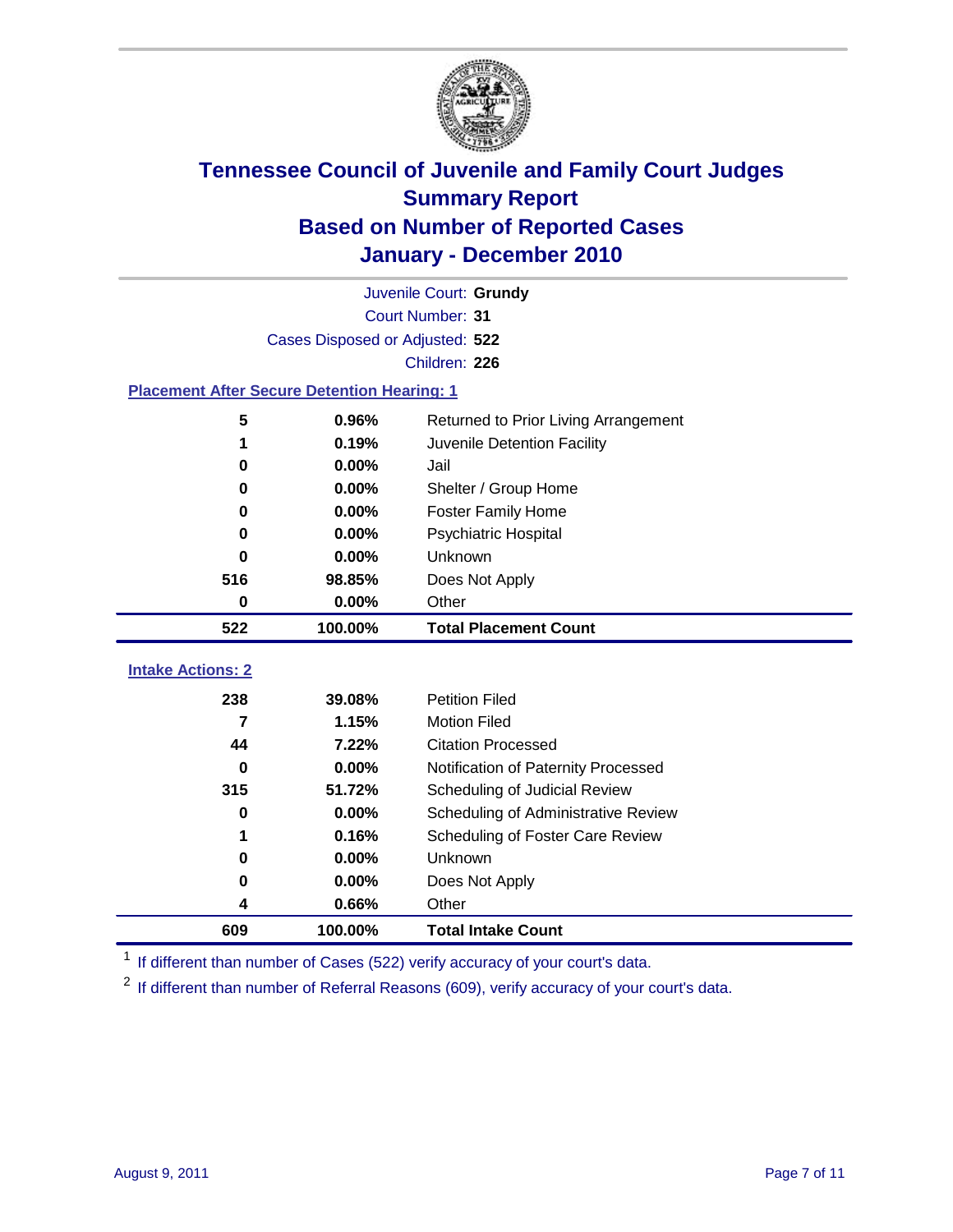

|                                                    | Juvenile Court: Grundy          |                                      |  |  |  |
|----------------------------------------------------|---------------------------------|--------------------------------------|--|--|--|
|                                                    | Court Number: 31                |                                      |  |  |  |
|                                                    | Cases Disposed or Adjusted: 522 |                                      |  |  |  |
|                                                    |                                 | Children: 226                        |  |  |  |
| <b>Placement After Secure Detention Hearing: 1</b> |                                 |                                      |  |  |  |
| 5                                                  | 0.96%                           | Returned to Prior Living Arrangement |  |  |  |
| 1                                                  | 0.19%                           | Juvenile Detention Facility          |  |  |  |
| 0                                                  | 0.00%                           | Jail                                 |  |  |  |
| $\bf{0}$                                           | 0.00%                           | Shelter / Group Home                 |  |  |  |
| 0                                                  | 0.00%                           | <b>Foster Family Home</b>            |  |  |  |
| 0                                                  | 0.00%                           | Psychiatric Hospital                 |  |  |  |
| <sup>0</sup>                                       | 0.00%                           | Unknown                              |  |  |  |
| 516                                                | 98.85%                          | Does Not Apply                       |  |  |  |
| $\mathbf 0$                                        | 0.00%                           | Other                                |  |  |  |
| 522                                                | 100.00%                         | <b>Total Placement Count</b>         |  |  |  |
| <b>Intake Actions: 2</b>                           |                                 |                                      |  |  |  |
|                                                    |                                 |                                      |  |  |  |
| 238                                                | 39.08%                          | <b>Petition Filed</b>                |  |  |  |
| 7                                                  | 1.15%                           | <b>Motion Filed</b>                  |  |  |  |
| 44                                                 | 7.22%                           | <b>Citation Processed</b>            |  |  |  |
| 0                                                  | 0.00%                           | Notification of Paternity Processed  |  |  |  |
| 315                                                | 51.72%                          | Scheduling of Judicial Review        |  |  |  |
| $\bf{0}$                                           | 0.00%                           | Scheduling of Administrative Review  |  |  |  |
|                                                    | 0.16%                           | Scheduling of Foster Care Review     |  |  |  |
| $\bf{0}$                                           | 0.00%                           | <b>Unknown</b>                       |  |  |  |
| 0                                                  | 0.00%                           | Does Not Apply                       |  |  |  |
| 4                                                  | 0.66%                           | Other                                |  |  |  |
| 609                                                | 100.00%                         | <b>Total Intake Count</b>            |  |  |  |

<sup>1</sup> If different than number of Cases (522) verify accuracy of your court's data.

<sup>2</sup> If different than number of Referral Reasons (609), verify accuracy of your court's data.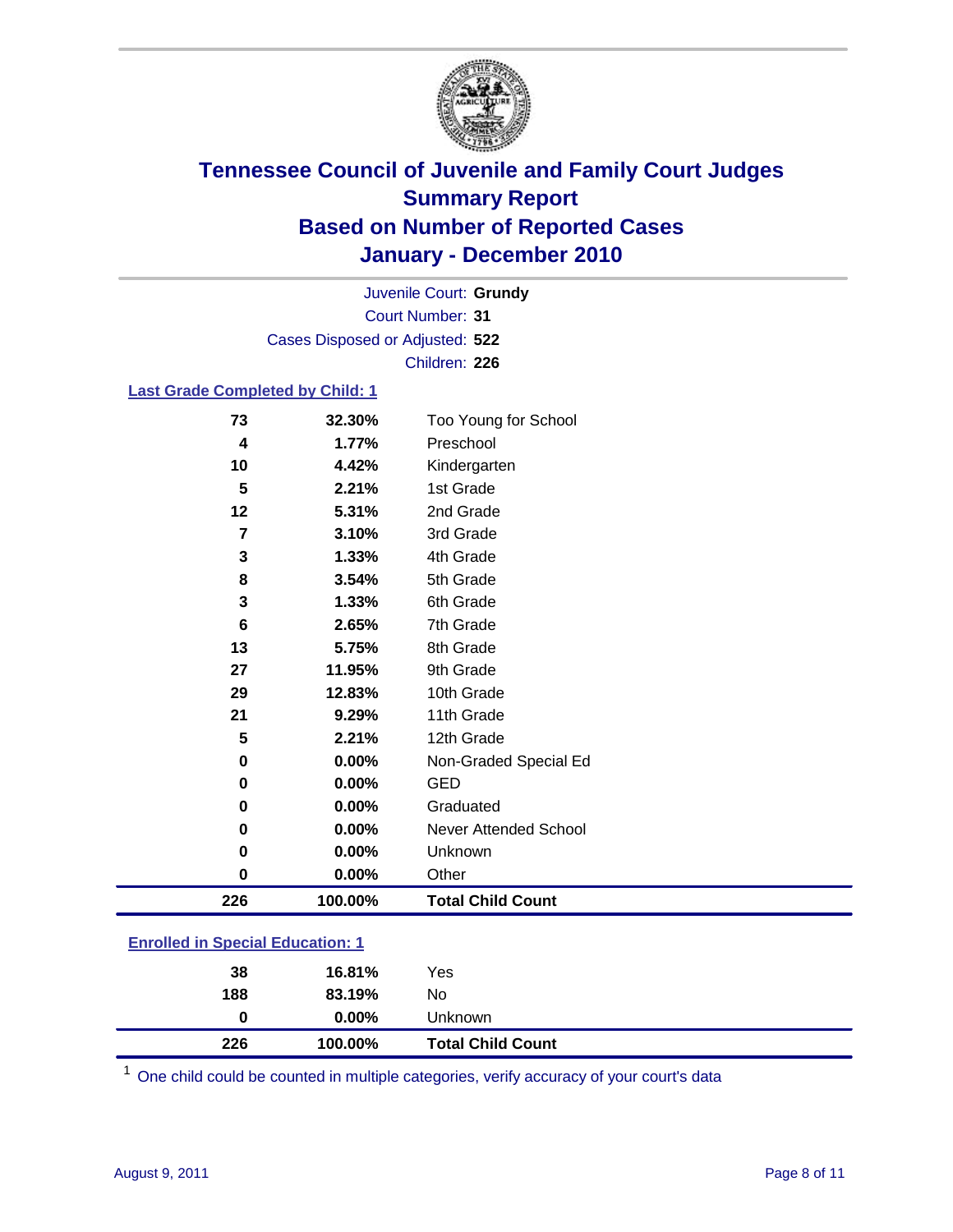

Court Number: **31** Juvenile Court: **Grundy** Cases Disposed or Adjusted: **522** Children: **226**

#### **Last Grade Completed by Child: 1**

| 73                                      | 32.30%  | Too Young for School     |  |
|-----------------------------------------|---------|--------------------------|--|
| 4                                       | 1.77%   | Preschool                |  |
| 10                                      | 4.42%   | Kindergarten             |  |
| 5                                       | 2.21%   | 1st Grade                |  |
| 12                                      | 5.31%   | 2nd Grade                |  |
| 7                                       | 3.10%   | 3rd Grade                |  |
| 3                                       | 1.33%   | 4th Grade                |  |
| 8                                       | 3.54%   | 5th Grade                |  |
| 3                                       | 1.33%   | 6th Grade                |  |
| 6                                       | 2.65%   | 7th Grade                |  |
| 13                                      | 5.75%   | 8th Grade                |  |
| 27                                      | 11.95%  | 9th Grade                |  |
| 29                                      | 12.83%  | 10th Grade               |  |
| 21                                      | 9.29%   | 11th Grade               |  |
| 5                                       | 2.21%   | 12th Grade               |  |
| 0                                       | 0.00%   | Non-Graded Special Ed    |  |
| 0                                       | 0.00%   | <b>GED</b>               |  |
| 0                                       | 0.00%   | Graduated                |  |
| 0                                       | 0.00%   | Never Attended School    |  |
| 0                                       | 0.00%   | Unknown                  |  |
| 0                                       | 0.00%   | Other                    |  |
| 226                                     | 100.00% | <b>Total Child Count</b> |  |
| <b>Enrolled in Special Education: 1</b> |         |                          |  |

| 226           | 100.00%  | <b>Total Child Count</b> |  |
|---------------|----------|--------------------------|--|
| 0             | $0.00\%$ | Unknown                  |  |
| 188           | 83.19%   | No                       |  |
| 38            | 16.81%   | Yes                      |  |
| ------------- |          |                          |  |

One child could be counted in multiple categories, verify accuracy of your court's data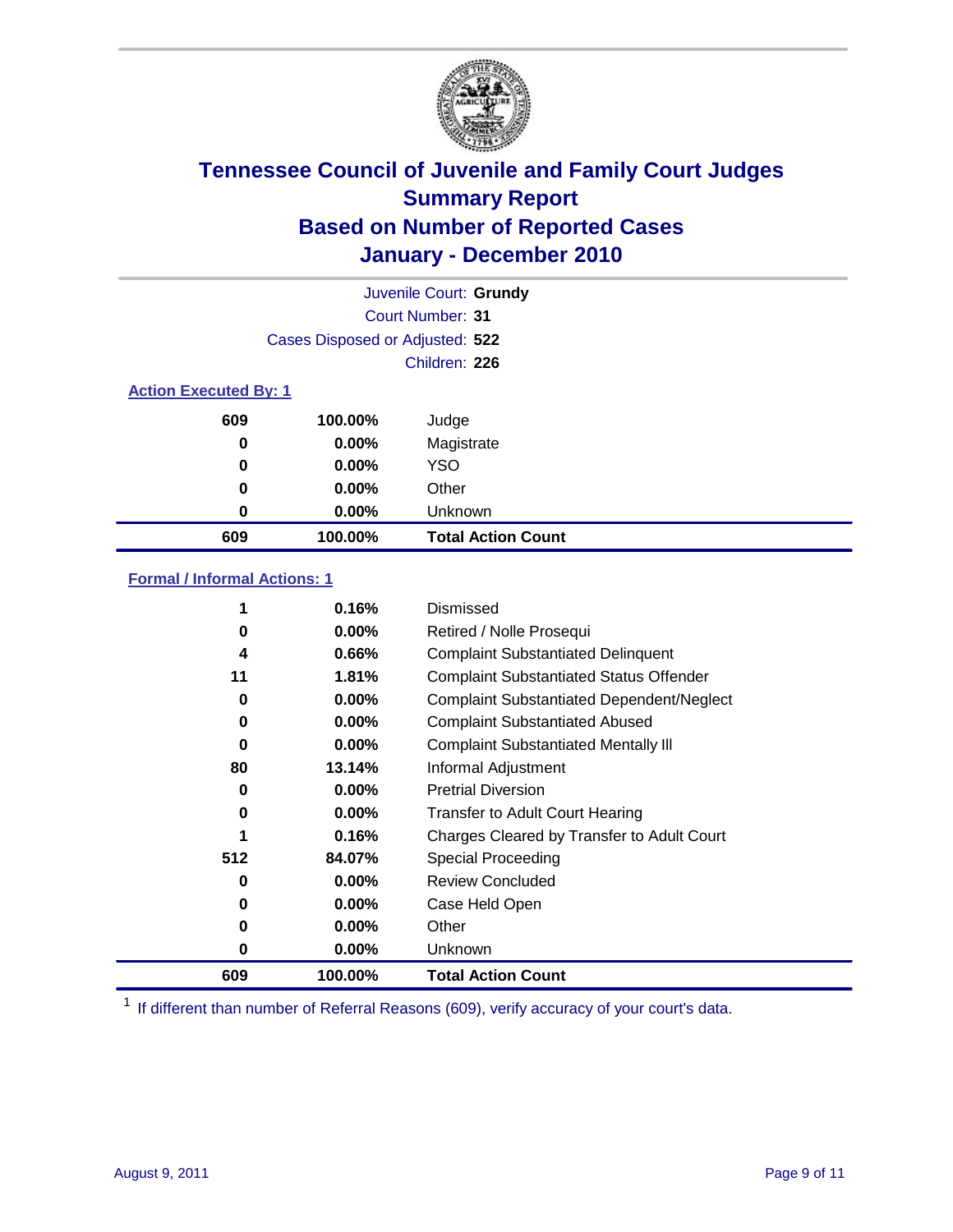

|                              | Juvenile Court: Grundy          |                           |
|------------------------------|---------------------------------|---------------------------|
|                              |                                 | Court Number: 31          |
|                              | Cases Disposed or Adjusted: 522 |                           |
|                              |                                 | Children: 226             |
| <b>Action Executed By: 1</b> |                                 |                           |
| 609                          | 100.00%                         | Judge                     |
| 0                            | $0.00\%$                        | Magistrate                |
| 0                            | $0.00\%$                        | <b>YSO</b>                |
| 0                            | 0.00%                           | Other                     |
| 0                            | 0.00%                           | Unknown                   |
| 609                          | 100.00%                         | <b>Total Action Count</b> |

### **Formal / Informal Actions: 1**

|     | 0.16%    | Dismissed                                        |
|-----|----------|--------------------------------------------------|
| 0   | $0.00\%$ | Retired / Nolle Prosequi                         |
| 4   | 0.66%    | <b>Complaint Substantiated Delinquent</b>        |
| 11  | 1.81%    | <b>Complaint Substantiated Status Offender</b>   |
| 0   | 0.00%    | <b>Complaint Substantiated Dependent/Neglect</b> |
| 0   | $0.00\%$ | <b>Complaint Substantiated Abused</b>            |
| 0   | $0.00\%$ | <b>Complaint Substantiated Mentally III</b>      |
| 80  | 13.14%   | Informal Adjustment                              |
| 0   | $0.00\%$ | <b>Pretrial Diversion</b>                        |
| 0   | $0.00\%$ | <b>Transfer to Adult Court Hearing</b>           |
|     | 0.16%    | Charges Cleared by Transfer to Adult Court       |
| 512 | 84.07%   | Special Proceeding                               |
| 0   | $0.00\%$ | <b>Review Concluded</b>                          |
| 0   | $0.00\%$ | Case Held Open                                   |
| 0   | $0.00\%$ | Other                                            |
| 0   | $0.00\%$ | <b>Unknown</b>                                   |
| 609 | 100.00%  | <b>Total Action Count</b>                        |

<sup>1</sup> If different than number of Referral Reasons (609), verify accuracy of your court's data.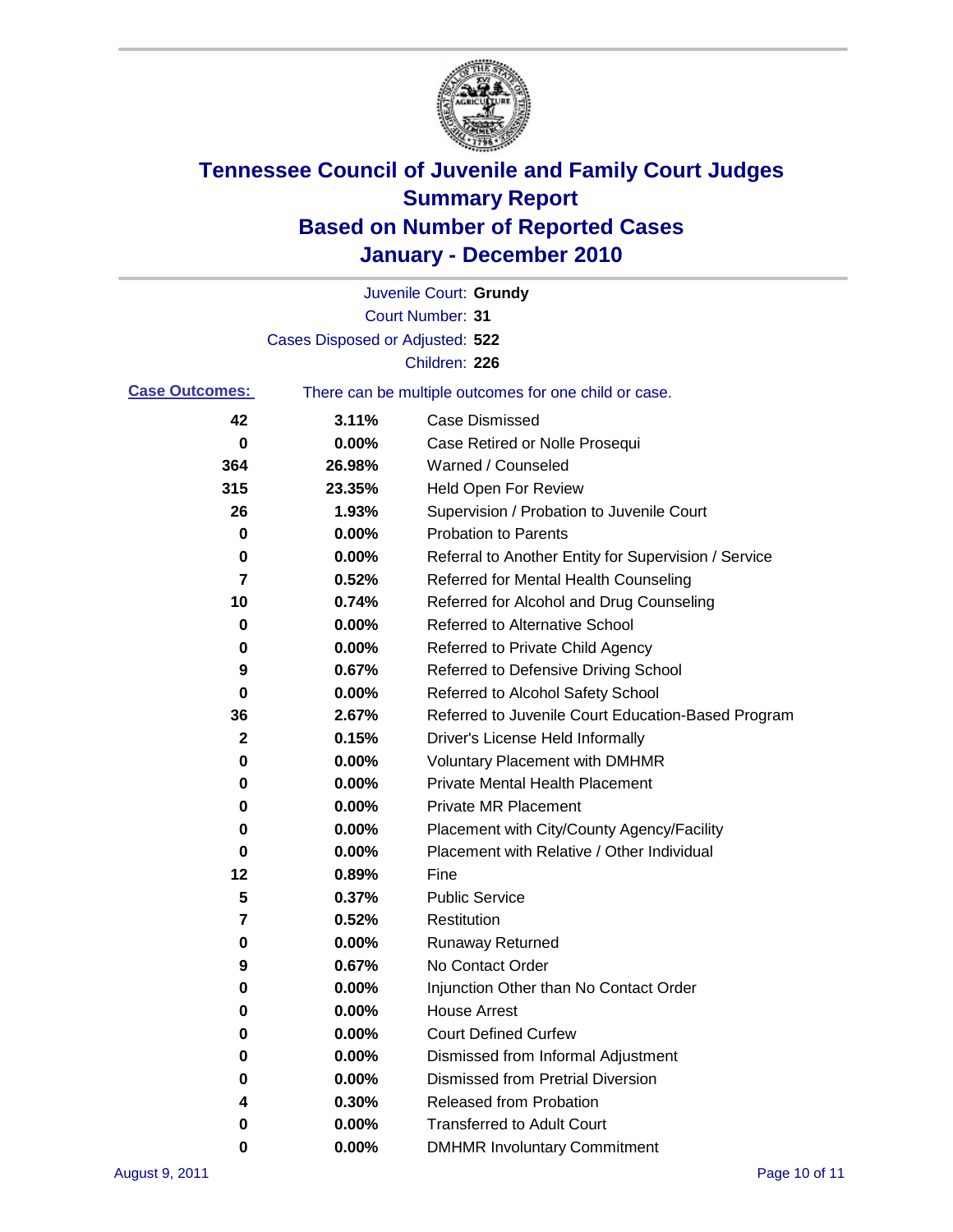

|                       |                                 | Juvenile Court: Grundy                                |
|-----------------------|---------------------------------|-------------------------------------------------------|
|                       |                                 | Court Number: 31                                      |
|                       | Cases Disposed or Adjusted: 522 |                                                       |
|                       |                                 | Children: 226                                         |
| <b>Case Outcomes:</b> |                                 | There can be multiple outcomes for one child or case. |
| 42                    | 3.11%                           | <b>Case Dismissed</b>                                 |
| 0                     | 0.00%                           | Case Retired or Nolle Prosequi                        |
| 364                   | 26.98%                          | Warned / Counseled                                    |
| 315                   | 23.35%                          | <b>Held Open For Review</b>                           |
| 26                    | 1.93%                           | Supervision / Probation to Juvenile Court             |
| 0                     | 0.00%                           | <b>Probation to Parents</b>                           |
| 0                     | 0.00%                           | Referral to Another Entity for Supervision / Service  |
| 7                     | 0.52%                           | Referred for Mental Health Counseling                 |
| 10                    | 0.74%                           | Referred for Alcohol and Drug Counseling              |
| 0                     | 0.00%                           | Referred to Alternative School                        |
| 0                     | 0.00%                           | Referred to Private Child Agency                      |
| 9                     | 0.67%                           | Referred to Defensive Driving School                  |
| 0                     | 0.00%                           | Referred to Alcohol Safety School                     |
| 36                    | 2.67%                           | Referred to Juvenile Court Education-Based Program    |
| 2                     | 0.15%                           | Driver's License Held Informally                      |
| 0                     | 0.00%                           | <b>Voluntary Placement with DMHMR</b>                 |
| 0                     | 0.00%                           | <b>Private Mental Health Placement</b>                |
| 0                     | 0.00%                           | <b>Private MR Placement</b>                           |
| 0                     | 0.00%                           | Placement with City/County Agency/Facility            |
| 0                     | 0.00%                           | Placement with Relative / Other Individual            |
| 12                    | 0.89%                           | Fine                                                  |
| 5                     | 0.37%                           | <b>Public Service</b>                                 |
| 7                     | 0.52%                           | Restitution                                           |
| 0                     | 0.00%                           | <b>Runaway Returned</b>                               |
| 9                     | 0.67%                           | No Contact Order                                      |
| 0                     | 0.00%                           | Injunction Other than No Contact Order                |
| 0                     | 0.00%                           | <b>House Arrest</b>                                   |
| 0                     | 0.00%                           | <b>Court Defined Curfew</b>                           |
| 0                     | 0.00%                           | Dismissed from Informal Adjustment                    |
| 0                     | 0.00%                           | <b>Dismissed from Pretrial Diversion</b>              |
| 4                     | 0.30%                           | Released from Probation                               |
| 0                     | 0.00%                           | <b>Transferred to Adult Court</b>                     |
| 0                     | 0.00%                           | <b>DMHMR Involuntary Commitment</b>                   |